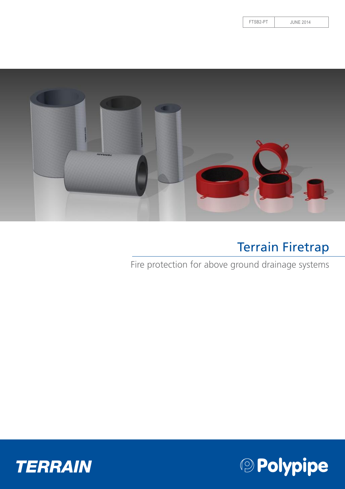FTSB2-PT JUNE 2014



### Terrain Firetrap

Fire protection for above ground drainage systems



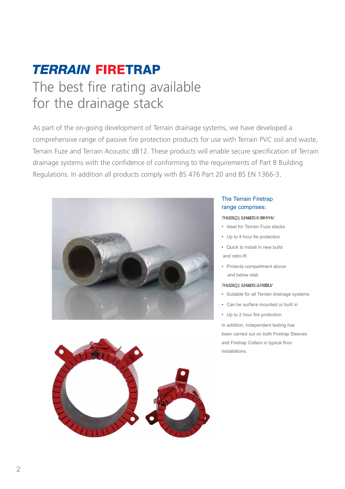### **TERRAIN FIRETRAP** The best fire rating available for the drainage stack

As part of the on-going development of Terrain drainage systems, we have developed a comprehensive range of passive fire protection products for use with Terrain PVC soil and waste, Terrain Fuze and Terrain Acoustic dB12. These products will enable secure specification of Terrain drainage systems with the confidence of conforming to the requirements of Part B Building Regulations. In addition all products comply with BS 476 Part 20 and BS EN 1366-3.





#### The Terrain Firetrap range comprises:

#### **HYffUJb: JfYHUdGYYjYg**

- Ideal for Terrain Fuze stacks
- Up to 4 hour fre protection
- Quick to install in new build and retro-fit
- Protects compartment above and below slab
- **HYffUlb**: If YHUd'7 c"Ufa
- Suitable for all Terrain drainage systems
- Can be surface mounted or built in
- Up to 2 hour fire protection

In addition, independent testing has been carried out on both Firetrap Sleeves and Firetrap Collars in typical floor installations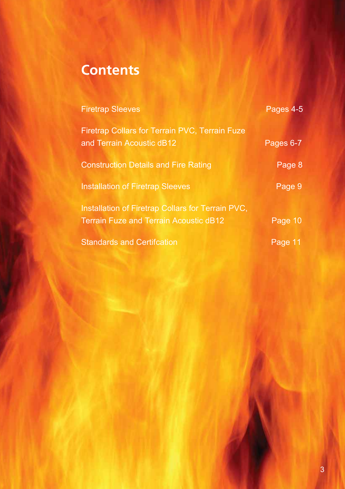### **Contents**

| <b>Firetrap Sleeves</b>                                                                            | Pages 4-5 |
|----------------------------------------------------------------------------------------------------|-----------|
| <b>Firetrap Collars for Terrain PVC, Terrain Fuze</b><br>and Terrain Acoustic dB12                 | Pages 6-7 |
| <b>Construction Details and Fire Rating</b>                                                        | Page 8    |
| <b>Installation of Firetrap Sleeves</b>                                                            | Page 9    |
| Installation of Firetrap Collars for Terrain PVC,<br><b>Terrain Fuze and Terrain Acoustic dB12</b> | Page 10   |
| <b>Standards and Certifcation</b>                                                                  | Page 11   |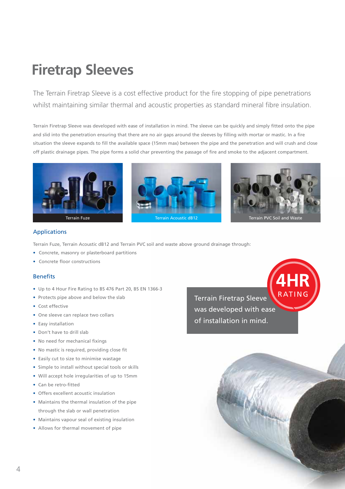## **Firetrap Sleeves**

The Terrain Firetrap Sleeve is a cost effective product for the fire stopping of pipe penetrations whilst maintaining similar thermal and acoustic properties as standard mineral fibre insulation.

Terrain Firetrap Sleeve was developed with ease of installation in mind. The sleeve can be quickly and simply fitted onto the pipe and slid into the penetration ensuring that there are no air gaps around the sleeves by filling with mortar or mastic. In a fire situation the sleeve expands to fill the available space (15mm max) between the pipe and the penetration and will crush and close off plastic drainage pipes. The pipe forms a solid char preventing the passage of fire and smoke to the adjacent compartment.



#### Applications

Terrain Fuze, Terrain Acoustic dB12 and Terrain PVC soil and waste above ground drainage through:

- Concrete, masonry or plasterboard partitions
- Concrete floor constructions

#### **Benefits**

- Up to 4 Hour Fire Rating to BS 476 Part 20, BS EN 1366-3
- Protects pipe above and below the slab
- Cost effective
- One sleeve can replace two collars
- Easy installation
- Don't have to drill slab
- No need for mechanical fixings
- No mastic is required, providing close fit
- Easily cut to size to minimise wastage
- Simple to install without special tools or skills
- Will accept hole irregularities of up to 15mm
- Can be retro-fitted
- Offers excellent acoustic insulation
- Maintains the thermal insulation of the pipe through the slab or wall penetration
- Maintains vapour seal of existing insulation
- Allows for thermal movement of pipe

Terrain Firetrap Sleeve was developed with ease of installation in mind.



**4HR**

RATING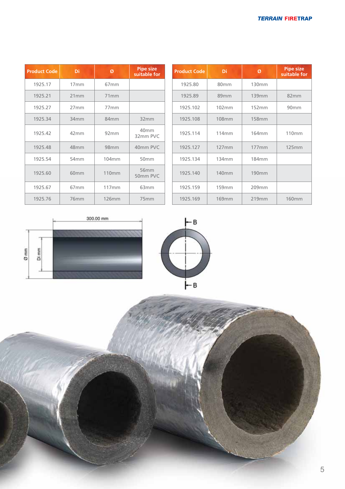| <b>Product Code</b> | Di               | Ø                | <b>Pipe size</b><br>suitable for | <b>Product Code</b> | Di                | Ø                 |  |
|---------------------|------------------|------------------|----------------------------------|---------------------|-------------------|-------------------|--|
| 1925.17             | 17mm             | 67 <sub>mm</sub> |                                  | 1925.80             | 80 <sub>mm</sub>  | 130mm             |  |
| 1925.21             | 21mm             | 71mm             |                                  | 1925.89             | 89mm              | 139mm             |  |
| 1925.27             | 27mm             | 77mm             |                                  | 1925.102            | 102mm             | 152mm             |  |
| 1925.34             | 34 <sub>mm</sub> | 84mm             | 32mm                             | 1925.108            | <b>108mm</b>      | <b>158mm</b>      |  |
| 1925.42             | 42mm             | 92 <sub>mm</sub> | 40 <sub>mm</sub><br>32mm PVC     | 1925.114            | 114mm             | 164mm             |  |
| 1925.48             | 48 <sub>mm</sub> | 98 <sub>mm</sub> | 40mm PVC                         | 1925.127            | 127mm             | 177mm             |  |
| 1925.54             | 54 <sub>mm</sub> | 104mm            | 50 <sub>mm</sub>                 | 1925.134            | 134mm             | 184 <sub>mm</sub> |  |
| 1925.60             | 60 <sub>mm</sub> | <b>110mm</b>     | 56 <sub>mm</sub><br>50mm PVC     | 1925.140            | 140 <sub>mm</sub> | <b>190mm</b>      |  |
| 1925.67             | 67 <sub>mm</sub> | 117mm            | 63mm                             | 1925.159            | 159mm             | 209mm             |  |
| 1925.76             | 76mm             | 126mm            | 75 <sub>mm</sub>                 | 1925.169            | <b>169mm</b>      | 219mm             |  |

| duct Code | Di               | Ø                | <b>Pipe size</b><br>suitable for | <b>Product Code</b> | Di                | Ø                 | <b>Pipe size</b><br>suitable for |
|-----------|------------------|------------------|----------------------------------|---------------------|-------------------|-------------------|----------------------------------|
| 1925.17   | 17mm             | 67 <sub>mm</sub> |                                  | 1925.80             | 80mm              | 130mm             |                                  |
| 1925.21   | 21mm             | 71mm             |                                  | 1925.89             | 89 <sub>mm</sub>  | 139mm             | 82mm                             |
| 1925.27   | 27mm             | 77mm             |                                  | 1925.102            | 102mm             | 152mm             | 90 <sub>mm</sub>                 |
| 1925.34   | 34 <sub>mm</sub> | 84mm             | 32mm                             | 1925.108            | <b>108mm</b>      | <b>158mm</b>      |                                  |
| 1925.42   | 42mm             | 92mm             | 40 <sub>mm</sub><br>32mm PVC     | 1925.114            | 114 <sub>mm</sub> | 164mm             | 110mm                            |
| 1925.48   | 48 <sub>mm</sub> | 98 <sub>mm</sub> | 40mm PVC                         | 1925.127            | 127mm             | 177 <sub>mm</sub> | 125mm                            |
| 1925.54   | 54 <sub>mm</sub> | 104mm            | 50 <sub>mm</sub>                 | 1925.134            | 134mm             | 184 <sub>mm</sub> |                                  |
| 1925.60   | 60 <sub>mm</sub> | <b>110mm</b>     | 56 <sub>mm</sub><br>50mm PVC     | 1925.140            | 140 <sub>mm</sub> | 190 <sub>mm</sub> |                                  |
| 1925.67   | 67 <sub>mm</sub> | 117mm            | 63 <sub>mm</sub>                 | 1925.159            | 159mm             | 209mm             |                                  |
| 1925.76   | 76mm             | <b>126mm</b>     | 75mm                             | 1925.169            | <b>169mm</b>      | 219mm             | <b>160mm</b>                     |





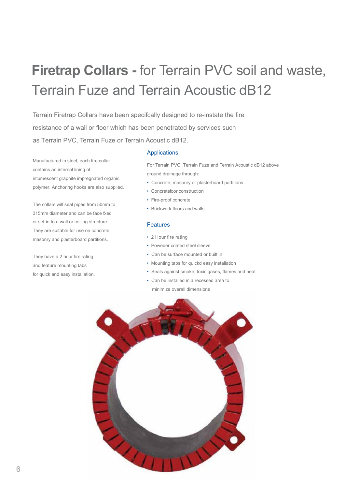# **Firetrap Collars -** for Terrain PVC soil and waste, Terrain Fuze and Terrain Acoustic dB12

Terrain Firetrap Collars have been specifcally designed to re-instate the fire resistance of a wall or floor which has been penetrated by services such as Terrain PVC, Terrain Fuze or Terrain Acoustic dB12.

Manufactured in steel, each fire collar contains an internal lining of intumescent graphite impregnated organic polymer. Anchoring hooks are also supplied.

The collars will seal pipes from 50mm to 315mm diameter and can be face fxed or set-in to a wall or ceiling structure. They are suitable for use on concrete, masonry and plasterboard partitions.

They have a 2 hour fire rating and feature mounting tabs for quick and easy installation.

#### Applications

For Terrain PVC, Terrain Fuze and Terrain Acoustic dB12 above ground drainage through:

- Concrete, masonry or plasterboard partitions
- Concretefoor construction
- Fire-proof concrete
- Brickwork floors and walls

#### Features

- 2 Hour fire rating
- Poweder coated steel sleeve
- Can be surface mounted or built in
- Mounting tabs for quickd easy installation
- Seals against smoke, toxic gases, flames and heat
- Can be installed in a recessed area to minimize overall dimensions

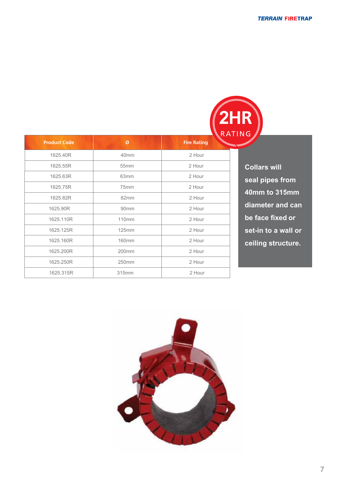|              |                    | <b>CONTRACTOR</b><br><b>2HR</b> |
|--------------|--------------------|---------------------------------|
| Ø            | <b>Fire Rating</b> | <b>ANTIQUAL ANS</b>             |
| 40mm         | 2 Hour             |                                 |
| 55mm         | 2 Hour             | Co                              |
| 63mm         | 2 Hour             | sea                             |
| 75mm         | 2 Hour             | <b>40</b>                       |
| 82mm         | 2 Hour             |                                 |
| 90mm         | 2 Hour             | dia                             |
| 110mm        | 2 Hour             | be                              |
| <b>125mm</b> | 2 Hour             | set                             |
| <b>160mm</b> | 2 Hour             | cei                             |
| 200mm        | 2 Hour             |                                 |
| 250mm        | 2 Hour             |                                 |
| 315mm        | 2 Hour             |                                 |
|              |                    |                                 |

**Collars will seal pipes from 40mm to 315mm diameter and can be face fixed or set-in to a wall or ceiling structure.**

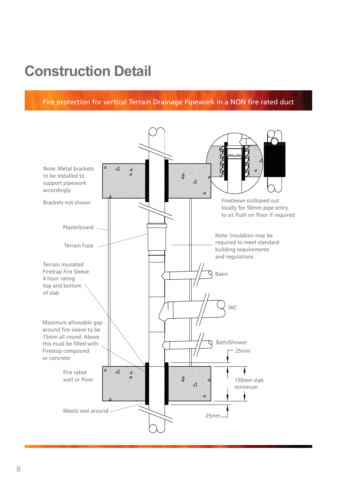### **Construction Detail**

Fire protection for vertical Terrain Drainage Pipework in a NON fire rated duct

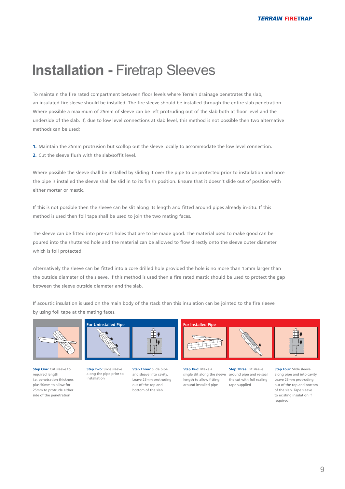### **Installation -** Firetrap Sleeves

To maintain the fire rated compartment between floor levels where Terrain drainage penetrates the slab, an insulated fire sleeve should be installed. The fire sleeve should be installed through the entire slab penetration. Where possible a maximum of 25mm of sleeve can be left protruding out of the slab both at floor level and the underside of the slab. If, due to low level connections at slab level, this method is not possible then two alternative methods can be used;

**1.** Maintain the 25mm protrusion but scollop out the sleeve locally to accommodate the low level connection. **2.** Cut the sleeve flush with the slab/soffit level.

Where possible the sleeve shall be installed by sliding it over the pipe to be protected prior to installation and once the pipe is installed the sleeve shall be slid in to its finish position. Ensure that it doesn't slide out of position with either mortar or mastic.

If this is not possible then the sleeve can be slit along its length and fitted around pipes already in-situ. If this method is used then foil tape shall be used to join the two mating faces.

The sleeve can be fitted into pre-cast holes that are to be made good. The material used to make good can be poured into the shuttered hole and the material can be allowed to flow directly onto the sleeve outer diameter which is foil protected.

Alternatively the sleeve can be fitted into a core drilled hole provided the hole is no more than 15mm larger than the outside diameter of the sleeve. If this method is used then a fire rated mastic should be used to protect the gap between the sleeve outside diameter and the slab.

If acoustic insulation is used on the main body of the stack then this insulation can be jointed to the fire sleeve by using foil tape at the mating faces.

**For Uninstalled Pipe For Installed Pipe**



side of the penetration



**Step One: Cut sleeve to** required length i.e. penetration thickness plus 50mm to allow for 25mm to protrude either  **Step Two:** Slide sleeve along the pipe prior to installation

 **Step Three:** Slide pipe and sleeve into cavity. Leave 25mm protruding out of the top and bottom of the slab

 **Step Two:** Make a single slit along the sleeve length to allow fitting around installed pipe

 **Step Three:** Fit sleeve around pipe and re-seal the cut with foil sealing tape supplied

**Step Four: Slide sleeve** along pipe and into cavity. Leave 25mm protruding out of the top and bottom of the slab. Tape sleeve to existing insulation if required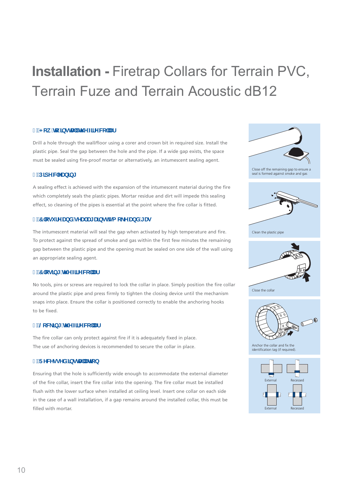# **Installation -** Firetrap Collars for Terrain PVC, Terrain Fuze and Terrain Acoustic dB12

#### %'<ck 'h: 'JbgHJ' 'H Y'ZffY'W' 'Uf

Drill a hole through the wall/floor using a corer and crown bit in required size. Install the plastic pipe. Seal the gap between the hole and the pipe. If a wide gap exists, the space must be sealed using fire-proof mortar or alternatively, an intumescent sealing agent.

#### 8"D]dYWVUb]b[

A sealing effect is achieved with the expansion of the intumescent material during the fire which completely seals the plastic pipes. Mortar residue and dirt will impede this sealing effect, so cleaning of the pipes is essential at the point where the fire collar is fitted.

#### **William School World Village State State State State State State State State State State State State State State State State State State State State State State State State State State State State State State State State**

The intumescent material will seal the gap when activated by high temperature and fire. To protect against the spread of smoke and gas within the first few minutes the remaining gap between the plastic pipe and the opening must be sealed on one side of the wall using an appropriate sealing agent.

#### ("7`cqlb[ 'h Y'ZffY'W''Uf

No tools, pins or screws are required to lock the collar in place. Simply position the fire collar around the plastic pipe and press firmly to tighten the closing device until the mechanism snaps into place. Ensure the collar is positioned correctly to enable the anchoring hooks to he fixed

#### ) " @W ]b[ 'H Y'ZffYW "Uf

The fire collar can only protect against fire if it is adequately fixed in place. The use of anchoring devices is recommended to secure the collar in place.

#### \* "FYWYggYX"|bgHJ**`U**icb

Ensuring that the hole is sufficiently wide enough to accommodate the external diameter of the fire collar, insert the fire collar into the opening. The fire collar must be installed flush with the lower surface when installed at ceiling level. Insert one collar on each side in the case of a wall installation, if a gap remains around the installed collar, this must be filled with mortar.



External

Recessed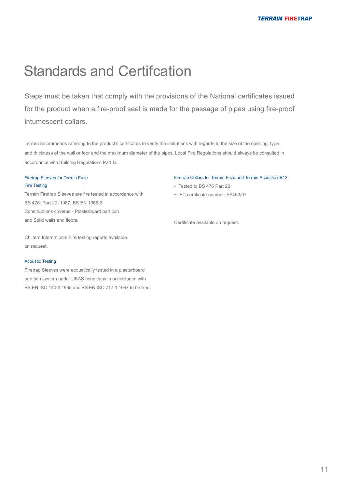### **Standards and Certifcation**

Steps must be taken that comply with the provisions of the National certificates issued for the product when a fire-proof seal is made for the passage of pipes using fire-proof intumescent collars.

Terrain recommends referring to the product's certifcates to verify the limitations with regards to the size of the opening, type and thickness of the wall or foor and the maximum diameter of the pipes. Local Fire Regulations should always be consulted in accordance with Building Regulations Part B.

#### Firetrap Sleeves for Terrain Fuze Fire Testing

Terrain Firetrap Sleeves are fire tested in accordance with BS 476: Part 20: 1987, BS EN 1366-3. Constructions covered - Plasterboard partition and Solid walls and floors.

Chiltern International Fire testing reports available on request.

#### Acoustic Testing

Firetrap Sleeves were acoustically tested in a plasterboard partition system under UKAS conditions in accordance with BS EN ISO 140-3:1995 and BS EN ISO 717-1:1997 to be fxed.

#### Firetrap Collars for Terrain Fuze and Terrain Acoustic dB12

- Tested to BS 476 Part 20.
- IFC certificate number: FS453/07

Certificate available on request.